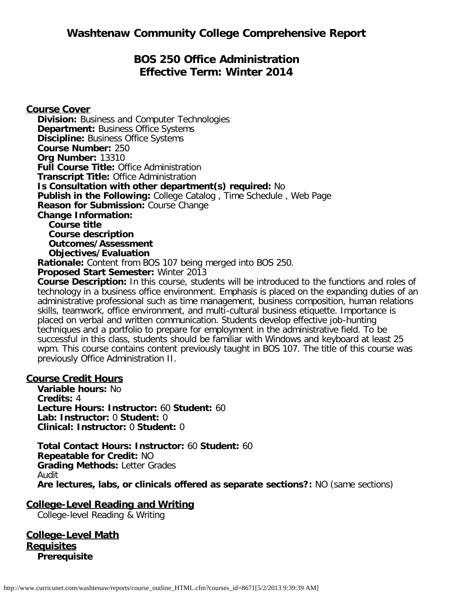# **BOS 250 Office Administration Effective Term: Winter 2014**

**Course Cover Division:** Business and Computer Technologies **Department: Business Office Systems Discipline: Business Office Systems Course Number:** 250 **Org Number:** 13310 **Full Course Title:** Office Administration **Transcript Title:** Office Administration **Is Consultation with other department(s) required:** No **Publish in the Following:** College Catalog , Time Schedule , Web Page **Reason for Submission:** Course Change **Change Information: Course title Course description Outcomes/Assessment Objectives/Evaluation Rationale:** Content from BOS 107 being merged into BOS 250. **Proposed Start Semester:** Winter 2013 **Course Description:** In this course, students will be introduced to the functions and roles of technology in a business office environment. Emphasis is placed on the expanding duties of an administrative professional such as time management, business composition, human relations

skills, teamwork, office environment, and multi-cultural business etiquette. Importance is placed on verbal and written communication. Students develop effective job-hunting techniques and a portfolio to prepare for employment in the administrative field. To be successful in this class, students should be familiar with Windows and keyboard at least 25 wpm. This course contains content previously taught in BOS 107. The title of this course was previously Office Administration II.

#### **Course Credit Hours**

**Variable hours:** No **Credits:** 4 **Lecture Hours: Instructor:** 60 **Student:** 60 **Lab: Instructor:** 0 **Student:** 0 **Clinical: Instructor:** 0 **Student:** 0

**Total Contact Hours: Instructor:** 60 **Student:** 60 **Repeatable for Credit:** NO **Grading Methods:** Letter Grades Audit **Are lectures, labs, or clinicals offered as separate sections?:** NO (same sections)

**College-Level Reading and Writing**

College-level Reading & Writing

**College-Level Math Requisites Prerequisite**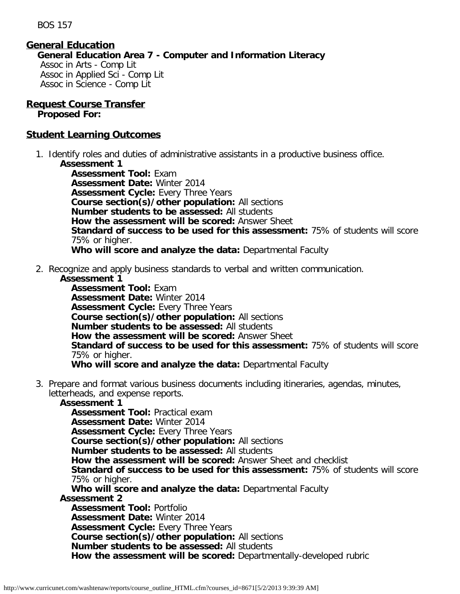BOS 157

### **General Education**

**General Education Area 7 - Computer and Information Literacy** Assoc in Arts - Comp Lit Assoc in Applied Sci - Comp Lit Assoc in Science - Comp Lit

# **Request Course Transfer**

**Proposed For:**

# **Student Learning Outcomes**

1. Identify roles and duties of administrative assistants in a productive business office. **Assessment 1**

**Assessment Tool:** Exam **Assessment Date:** Winter 2014 **Assessment Cycle:** Every Three Years **Course section(s)/other population:** All sections **Number students to be assessed:** All students **How the assessment will be scored:** Answer Sheet **Standard of success to be used for this assessment:** 75% of students will score 75% or higher. **Who will score and analyze the data:** Departmental Faculty

2. Recognize and apply business standards to verbal and written communication.

#### **Assessment 1**

**Assessment Tool:** Exam **Assessment Date:** Winter 2014 **Assessment Cycle:** Every Three Years **Course section(s)/other population:** All sections **Number students to be assessed:** All students **How the assessment will be scored:** Answer Sheet **Standard of success to be used for this assessment:** 75% of students will score 75% or higher. **Who will score and analyze the data:** Departmental Faculty

3. Prepare and format various business documents including itineraries, agendas, minutes, letterheads, and expense reports.

# **Assessment 1**

**Assessment Tool:** Practical exam **Assessment Date:** Winter 2014 **Assessment Cycle:** Every Three Years **Course section(s)/other population:** All sections **Number students to be assessed:** All students **How the assessment will be scored:** Answer Sheet and checklist **Standard of success to be used for this assessment:** 75% of students will score 75% or higher. **Who will score and analyze the data:** Departmental Faculty **Assessment 2 Assessment Tool:** Portfolio **Assessment Date:** Winter 2014 **Assessment Cycle:** Every Three Years **Course section(s)/other population:** All sections **Number students to be assessed:** All students **How the assessment will be scored:** Departmentally-developed rubric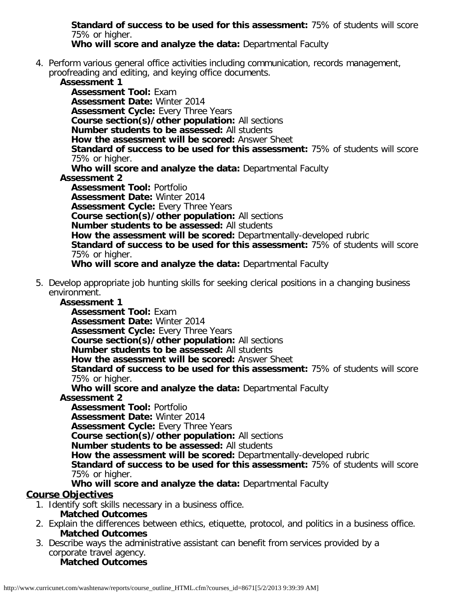**Standard of success to be used for this assessment:** 75% of students will score 75% or higher.

**Who will score and analyze the data:** Departmental Faculty

4. Perform various general office activities including communication, records management, proofreading and editing, and keying office documents.

**Assessment 1 Assessment Tool:** Exam **Assessment Date:** Winter 2014 **Assessment Cycle:** Every Three Years **Course section(s)/other population:** All sections **Number students to be assessed:** All students **How the assessment will be scored:** Answer Sheet **Standard of success to be used for this assessment:** 75% of students will score 75% or higher. **Who will score and analyze the data:** Departmental Faculty **Assessment 2 Assessment Tool:** Portfolio **Assessment Date:** Winter 2014 **Assessment Cycle: Every Three Years Course section(s)/other population:** All sections **Number students to be assessed:** All students **How the assessment will be scored:** Departmentally-developed rubric **Standard of success to be used for this assessment:** 75% of students will score 75% or higher. **Who will score and analyze the data:** Departmental Faculty

5. Develop appropriate job hunting skills for seeking clerical positions in a changing business environment.

# **Assessment 1**

**Assessment Tool:** Exam **Assessment Date:** Winter 2014 **Assessment Cycle:** Every Three Years **Course section(s)/other population:** All sections **Number students to be assessed:** All students **How the assessment will be scored:** Answer Sheet **Standard of success to be used for this assessment:** 75% of students will score 75% or higher.

**Who will score and analyze the data:** Departmental Faculty

#### **Assessment 2**

**Assessment Tool:** Portfolio **Assessment Date:** Winter 2014 **Assessment Cycle: Every Three Years Course section(s)/other population:** All sections **Number students to be assessed:** All students **How the assessment will be scored:** Departmentally-developed rubric **Standard of success to be used for this assessment:** 75% of students will score 75% or higher.

**Who will score and analyze the data:** Departmental Faculty

# **Course Objectives**

- 1. Identify soft skills necessary in a business office.
	- **Matched Outcomes**
- 2. Explain the differences between ethics, etiquette, protocol, and politics in a business office. **Matched Outcomes**
- 3. Describe ways the administrative assistant can benefit from services provided by a corporate travel agency. **Matched Outcomes**